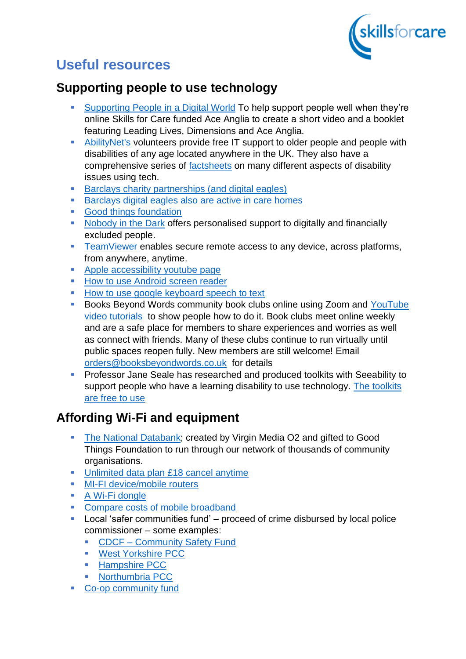

# **Useful resources**

#### **Supporting people to use technology**

- Supporting People in a Digital World To help support people well when they're online Skills for Care funded Ace Anglia to create a short video and a booklet featuring Leading Lives, Dimensions and Ace Anglia.
- AbilityNet's volunteers provide free IT support to older people and people with disabilities of any age located anywhere in the UK. They also have a comprehensive series of **factsheets** on many different aspects of disability issues using tech.
- Barclays charity partnerships (and digital eagles)
- Barclays digital eagles also are active in care homes
- Good things foundation
- Nobody in the Dark offers personalised support to digitally and financially excluded people.
- TeamViewer enables secure remote access to any device, across platforms, from anywhere, anytime.
- Apple accessibility youtube page
- How to use Android screen reader
- How to use google keyboard speech to text
- Books Beyond Words community book clubs online using Zoom and YouTube video tutorials to show people how to do it. Book clubs meet online weekly and are a safe place for members to share experiences and worries as well as connect with friends. Many of these clubs continue to run virtually until public spaces reopen fully. New members are still welcome! Email orders@booksbeyondwords.co.uk for details
- Professor Jane Seale has researched and produced toolkits with Seeability to support people who have a learning disability to use technology. The toolkits are free to use

# **Affording Wi-Fi and equipment**

- The National Databank; created by Virgin Media O2 and gifted to Good Things Foundation to run through our network of thousands of community organisations.
- Unlimited data plan £18 cancel anytime
- **■** MI-FI device/mobile routers
- A Wi-Fi dongle
- **Compare costs of mobile broadband**
- Local 'safer communities fund' proceed of crime disbursed by local police commissioner – some examples:
	- CDCF Community Safety Fund
	- West Yorkshire PCC
	- Hampshire PCC
	- Northumbria PCC
- Co-op community fund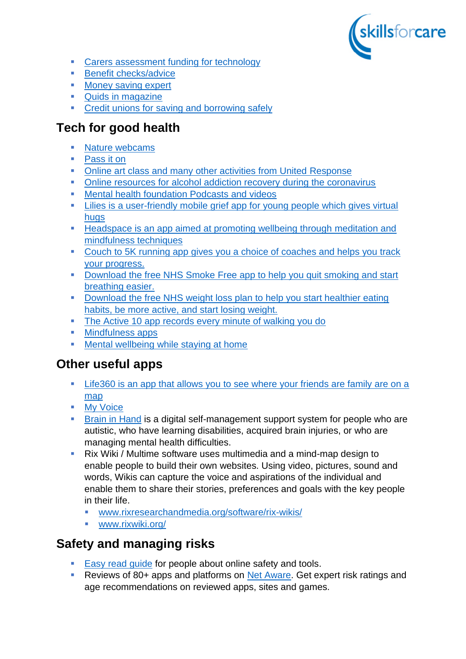

- [Carers assessment funding for technology](https://www.carersuk.org/help-and-advice/practical-support/getting-care-and-support/carers-assessment)
- [Benefit checks/advice](http://www.gov.uk/benefits-calculators)
- [Money saving expert](https://skillsforcare.sharepoint.com/sites/WorkforceInnovationTeam/Shared%20Documents/WCT%20Public/21%2022/Everyday%20tech/OU%20webinar%202021%2011%2004/%09www.moneysavingexpert.com/banking/budget-planning/)
- [Quids in magazine](https://skillsforcare.sharepoint.com/sites/WorkforceInnovationTeam/Shared%20Documents/WCT%20Public/21%2022/Everyday%20tech/OU%20webinar%202021%2011%2004/%09www.quidsinmagazine.com/spending/future-proof-finance-quiz/)
- **[Credit unions for saving and borrowing safely](https://www.findyourcreditunion.co.uk/)**

# **Tech for good health**

- [Nature webcams](https://explore.org/livecams)
- [Pass it on](https://www.learningdisabilities.org.uk/learning-disabilities/our-work/family-friends-community/pass-it-on#:~:text=Mental%20health%20issues%20are%20very%20common.&text=We%20are%20developing%20a%20sustainable,disabilities%20through%20Peer%20Support%20Groups)
- [Online art class and many other activities from United Response](https://www.unitedresponse.org.uk/news-item/fun-online-activities-to-support-your-wellbeing-during-lockdown/)
- [Online resources for alcohol addiction recovery during the coronavirus](https://ahauk.org/news/recovery-during-coronavirus/)
- [Mental health foundation Podcasts and videos](https://www.mentalhealth.org.uk/podcasts-and-videos)
- **EXECT:** Lilies is a user-friendly mobile grief app for young people which gives virtual [hugs](https://liliesgriefsupport.weebly.com/)
- Headspace is an app aimed at promoting wellbeing through meditation and [mindfulness techniques](https://www.headspace.com/science)
- **EXECOUCH TO 5K running app gives you a choice of coaches and helps you track** [your progress.](https://www.nhs.uk/live-well/exercise/couch-to-5k-week-by-week/)
- Download the free NHS Smoke Free app to help you quit smoking and start [breathing easier.](https://www.nhs.uk/better-health/quit-smoking/)
- **Download the free NHS weight loss plan to help you start healthier eating** [habits, be more active, and start losing weight.](https://www.nhs.uk/better-health/lose-weight/)
- [The Active 10 app records every minute of walking you do](https://www.nhs.uk/better-health/get-active/)
- [Mindfulness apps](https://insighttimer.com/)
- [Mental wellbeing while staying at home](https://www.nhs.uk/every-mind-matters/coronavirus/mental-wellbeing-while-staying-at-home/)

#### **Other useful apps**

- **EXTEM** Life360 is an app that allows you to see where your friends are family are on a [map](https://www.life360.com/intl/)
- [My Voice](https://support.apple.com/en-gb/HT210417)
- **Exall in Hand is a digital self-management support system for people who are** autistic, who have learning disabilities, acquired brain injuries, or who are managing mental health difficulties.
- Rix Wiki / Multime software uses multimedia and a mind-map design to enable people to build their own websites. Using video, pictures, sound and words, Wikis can capture the voice and aspirations of the individual and enable them to share their stories, preferences and goals with the key people in their life.
	- [www.rixresearchandmedia.org/software/rix-wikis/](http://www.rixresearchandmedia.org/software/rix-wikis/)
	- [www.rixwiki.org/](http://www.rixwiki.org/)

### **Safety and managing risks**

- [Easy read guide](https://www.mentalhealth.org.uk/sites/default/files/staying-safe-online.pdf) for people about online safety and tools.
- Reviews of 80+ apps and platforms on [Net Aware.](https://skillsforcare.sharepoint.com/sites/WorkforceInnovationTeam/Shared%20Documents/WCT%20Public/21%2022/Everyday%20tech/OU%20webinar%202021%2011%2004/www.net-aware.org.uk/) Get expert risk ratings and age recommendations on reviewed apps, sites and games.